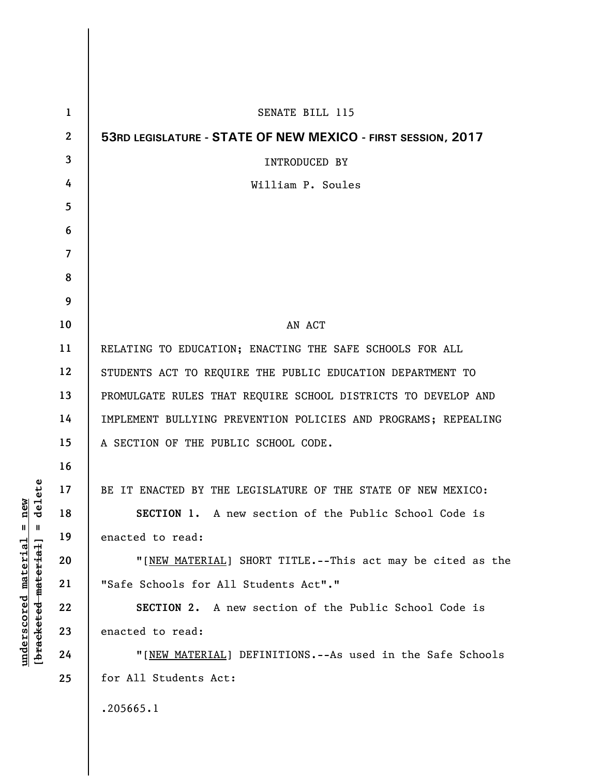| $\mathbf{1}$ | SENATE BILL 115                                                |
|--------------|----------------------------------------------------------------|
| $\mathbf{2}$ | 53RD LEGISLATURE - STATE OF NEW MEXICO - FIRST SESSION, 2017   |
| 3            | INTRODUCED BY                                                  |
| 4            | William P. Soules                                              |
| 5            |                                                                |
| 6            |                                                                |
| 7            |                                                                |
| 8            |                                                                |
| 9            |                                                                |
| 10           | AN ACT                                                         |
| 11           | RELATING TO EDUCATION; ENACTING THE SAFE SCHOOLS FOR ALL       |
| 12           | STUDENTS ACT TO REQUIRE THE PUBLIC EDUCATION DEPARTMENT TO     |
| 13           | PROMULGATE RULES THAT REQUIRE SCHOOL DISTRICTS TO DEVELOP AND  |
| 14           | IMPLEMENT BULLYING PREVENTION POLICIES AND PROGRAMS; REPEALING |
| 15           | A SECTION OF THE PUBLIC SCHOOL CODE.                           |
| 16           |                                                                |
| 17           | BE IT ENACTED BY THE LEGISLATURE OF THE STATE OF NEW MEXICO:   |
| 18           | SECTION 1. A new section of the Public School Code is          |
| 19           | enacted to read:                                               |
| 20           | "[NEW MATERIAL] SHORT TITLE.--This act may be cited as the     |
| 21           | "Safe Schools for All Students Act"."                          |
| 22           | <b>SECTION 2.</b> A new section of the Public School Code is   |
| 23           | enacted to read:                                               |
| 24           | "[NEW MATERIAL] DEFINITIONS.--As used in the Safe Schools      |
| 25           | for All Students Act:                                          |
|              | .205665.1                                                      |
|              |                                                                |

 $[**bracket eted metert et**] = **del et e**$ **[bracketed material] = delete**  $underscored material = new$ **underscored material = new**

 $\overline{\phantom{a}}$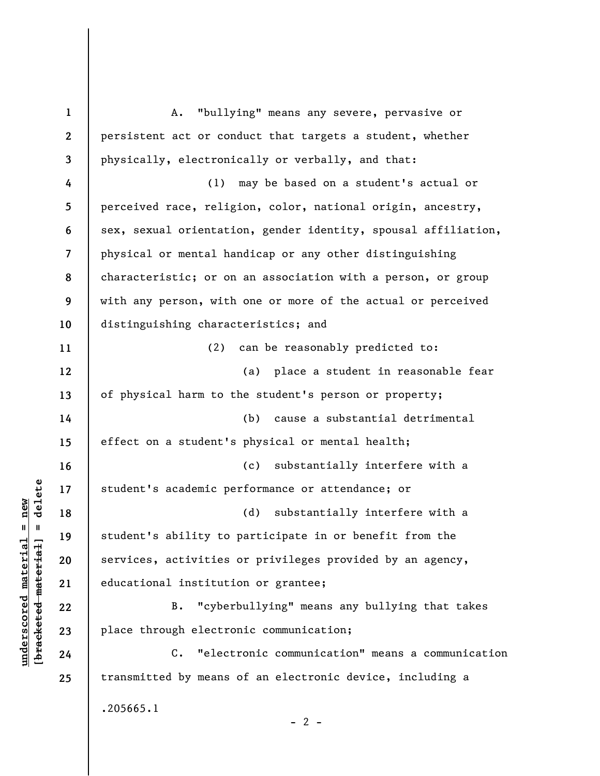**1 2 3 4 5 6 7 8 9 10 11 12 13 14 15 16 17 18 19 20 21 22 23 24 25**  A. "bullying" means any severe, pervasive or persistent act or conduct that targets a student, whether physically, electronically or verbally, and that: (1) may be based on a student's actual or perceived race, religion, color, national origin, ancestry, sex, sexual orientation, gender identity, spousal affiliation, physical or mental handicap or any other distinguishing characteristic; or on an association with a person, or group with any person, with one or more of the actual or perceived distinguishing characteristics; and (2) can be reasonably predicted to: (a) place a student in reasonable fear of physical harm to the student's person or property; (b) cause a substantial detrimental effect on a student's physical or mental health; (c) substantially interfere with a student's academic performance or attendance; or (d) substantially interfere with a student's ability to participate in or benefit from the services, activities or privileges provided by an agency, educational institution or grantee; B. "cyberbullying" means any bullying that takes place through electronic communication; C. "electronic communication" means a communication transmitted by means of an electronic device, including a .205665.1

 $\frac{1}{2}$  of  $\frac{1}{2}$  and  $\frac{1}{2}$  and  $\frac{1}{2}$  and  $\frac{1}{2}$  and  $\frac{1}{2}$  and  $\frac{1}{2}$  and  $\frac{1}{2}$  and  $\frac{1}{2}$  and  $\frac{1}{2}$  and  $\frac{1}{2}$  and  $\frac{1}{2}$  and  $\frac{1}{2}$  and  $\frac{1}{2}$  and  $\frac{1}{2}$  and  $\frac{1}{2}$  an **[bracketed material] = delete**  $underscored material = new$ **underscored material = new**

 $- 2 -$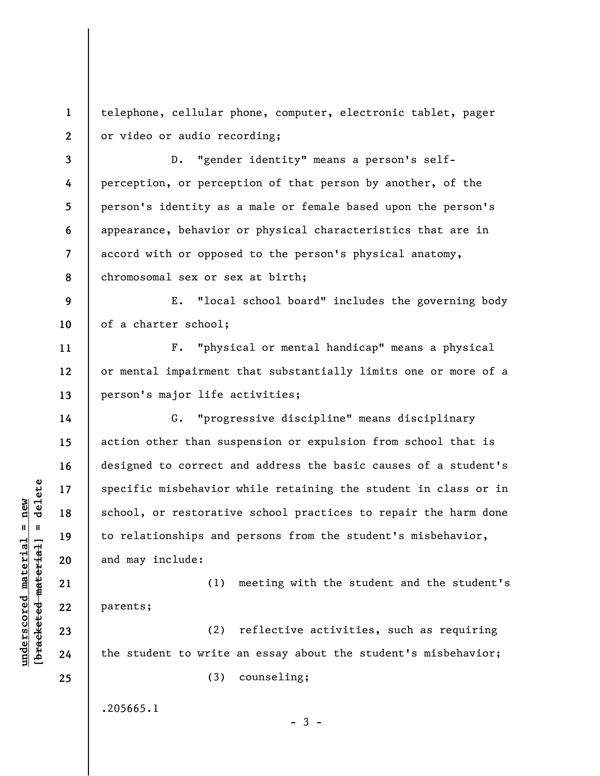**1 2**  telephone, cellular phone, computer, electronic tablet, pager or video or audio recording;

**3 4 5 6 7 8**  D. "gender identity" means a person's selfperception, or perception of that person by another, of the person's identity as a male or female based upon the person's appearance, behavior or physical characteristics that are in accord with or opposed to the person's physical anatomy, chromosomal sex or sex at birth;

**9 10**  E. "local school board" includes the governing body of a charter school;

F. "physical or mental handicap" means a physical or mental impairment that substantially limits one or more of a person's major life activities;

G. "progressive discipline" means disciplinary action other than suspension or expulsion from school that is designed to correct and address the basic causes of a student's specific misbehavior while retaining the student in class or in school, or restorative school practices to repair the harm done to relationships and persons from the student's misbehavior, and may include:

(1) meeting with the student and the student's parents;

(2) reflective activities, such as requiring the student to write an essay about the student's misbehavior;

 $-3 -$ 

(3) counseling;

.205665.1

 $b$ racketed material] = delete **[bracketed material] = delete**  $underscored material = new$ **underscored material = new**

**11** 

**12** 

**13** 

**14** 

**15** 

**16** 

**17** 

**18** 

**19** 

**20** 

**21** 

**22** 

**23** 

**24**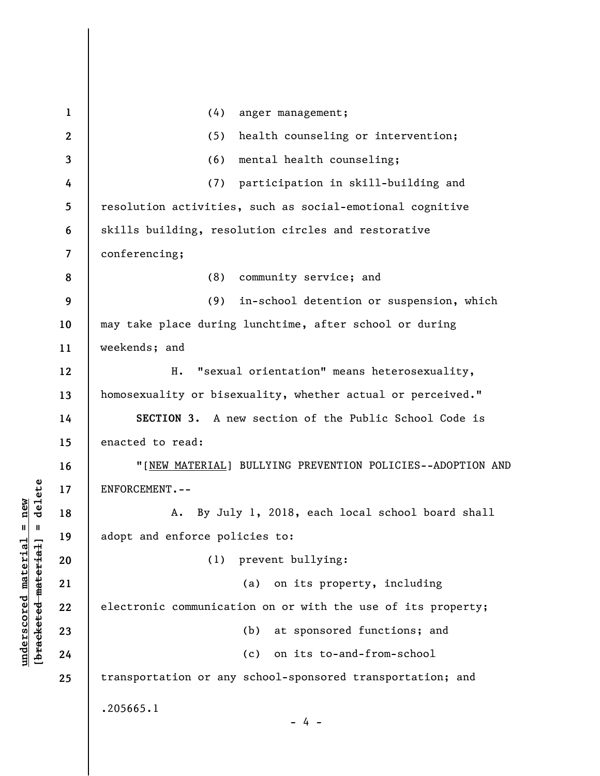|                      | $\mathbf{1}$ | (4)<br>anger management;                                     |
|----------------------|--------------|--------------------------------------------------------------|
|                      | $\mathbf{2}$ | (5)<br>health counseling or intervention;                    |
|                      | 3            | (6)<br>mental health counseling;                             |
|                      | 4            | participation in skill-building and<br>(7)                   |
|                      | 5            | resolution activities, such as social-emotional cognitive    |
|                      | 6            | skills building, resolution circles and restorative          |
|                      | 7            | conferencing;                                                |
|                      | 8            | (8)<br>community service; and                                |
|                      | 9            | in-school detention or suspension, which<br>(9)              |
|                      | 10           | may take place during lunchtime, after school or during      |
|                      | 11           | weekends; and                                                |
|                      | 12           | Η.<br>"sexual orientation" means heterosexuality,            |
|                      | 13           | homosexuality or bisexuality, whether actual or perceived."  |
|                      | 14           | SECTION 3. A new section of the Public School Code is        |
|                      | 15           | enacted to read:                                             |
|                      | 16           | "[NEW MATERIAL] BULLYING PREVENTION POLICIES--ADOPTION AND   |
| delete               | 17           | ENFORCEMENT.--                                               |
|                      | 18           | By July 1, 2018, each local school board shall<br>Α.         |
| $\mathbf{u}$         | 19           | adopt and enforce policies to:                               |
| [bracketed-material] | 20           | prevent bullying:<br>(1)                                     |
|                      | 21           | on its property, including<br>(a)                            |
|                      | 22           | electronic communication on or with the use of its property; |
|                      | 23           | at sponsored functions; and<br>(b)                           |
|                      | 24           | on its to-and-from-school<br>(c)                             |
|                      | 25           | transportation or any school-sponsored transportation; and   |
|                      |              | .205665.1                                                    |
|                      |              | $-4 -$                                                       |

**underscored material = new [bracketed material] = delete**

 $underscored material = new$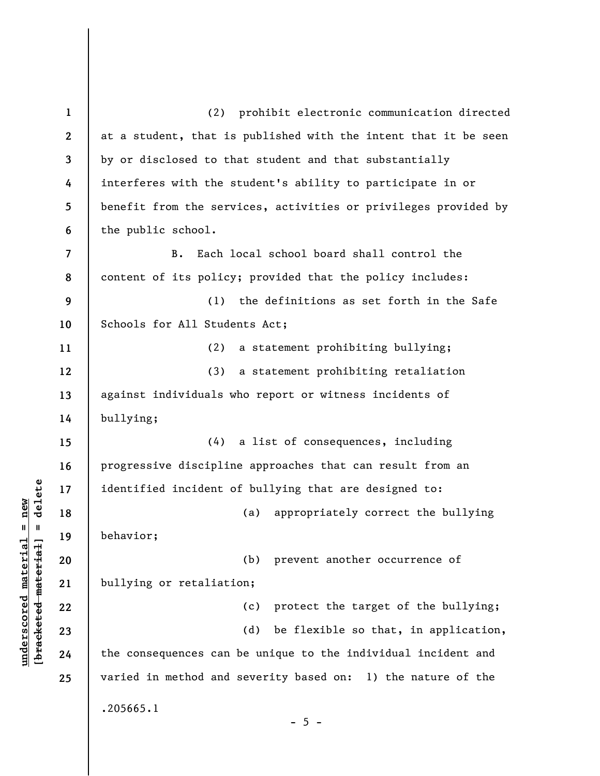**1 2 3 4 5 6 7 8 9 10 11 12 13 14 15 16 17 18 19 20 21 22 23 24 25**  (2) prohibit electronic communication directed at a student, that is published with the intent that it be seen by or disclosed to that student and that substantially interferes with the student's ability to participate in or benefit from the services, activities or privileges provided by the public school. B. Each local school board shall control the content of its policy; provided that the policy includes: (1) the definitions as set forth in the Safe Schools for All Students Act; (2) a statement prohibiting bullying; (3) a statement prohibiting retaliation against individuals who report or witness incidents of bullying; (4) a list of consequences, including progressive discipline approaches that can result from an identified incident of bullying that are designed to: (a) appropriately correct the bullying behavior; (b) prevent another occurrence of bullying or retaliation; (c) protect the target of the bullying; (d) be flexible so that, in application, the consequences can be unique to the individual incident and varied in method and severity based on: 1) the nature of the .205665.1  $- 5 -$ 

**underscored material = new [bracketed material] = delete**

 $\frac{1}{2}$  $underscored material = new$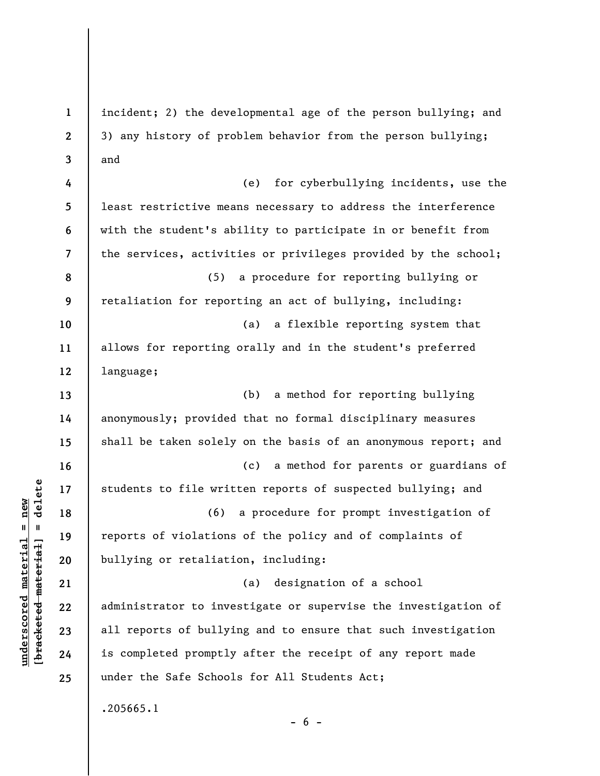**1 2 3 4 5 6 7 8 9 10 11 12 13 14 15 16 17 18 19 20 21 22 23 24 25**  incident; 2) the developmental age of the person bullying; and 3) any history of problem behavior from the person bullying; and (e) for cyberbullying incidents, use the least restrictive means necessary to address the interference with the student's ability to participate in or benefit from the services, activities or privileges provided by the school; (5) a procedure for reporting bullying or retaliation for reporting an act of bullying, including: (a) a flexible reporting system that allows for reporting orally and in the student's preferred language; (b) a method for reporting bullying anonymously; provided that no formal disciplinary measures shall be taken solely on the basis of an anonymous report; and (c) a method for parents or guardians of students to file written reports of suspected bullying; and (6) a procedure for prompt investigation of reports of violations of the policy and of complaints of bullying or retaliation, including: (a) designation of a school administrator to investigate or supervise the investigation of all reports of bullying and to ensure that such investigation is completed promptly after the receipt of any report made under the Safe Schools for All Students Act; .205665.1

 $\frac{1}{2}$  intereted material = delete **[bracketed material] = delete**  $underscored material = new$ **underscored material = new**

 $- 6 -$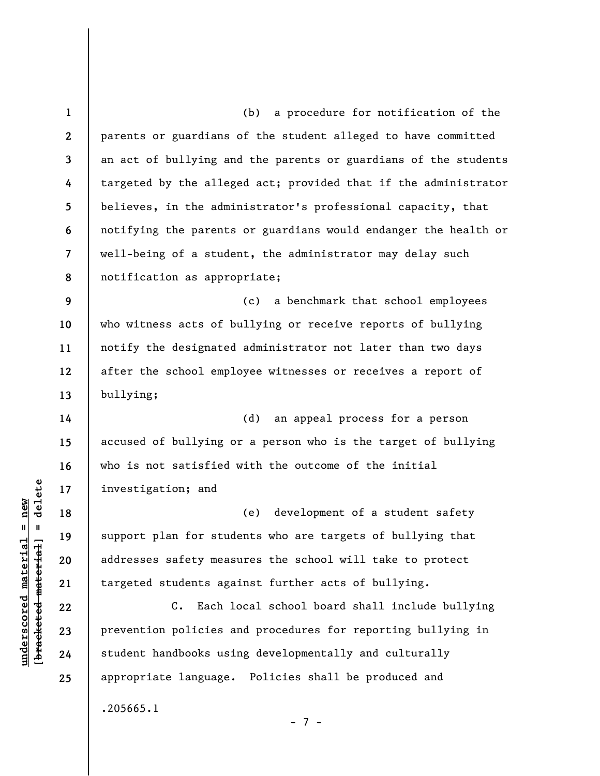**1 2 3 4 5 6 7 8**  (b) a procedure for notification of the parents or guardians of the student alleged to have committed an act of bullying and the parents or guardians of the students targeted by the alleged act; provided that if the administrator believes, in the administrator's professional capacity, that notifying the parents or guardians would endanger the health or well-being of a student, the administrator may delay such notification as appropriate;

**9 10 11 12 13**  (c) a benchmark that school employees who witness acts of bullying or receive reports of bullying notify the designated administrator not later than two days after the school employee witnesses or receives a report of bullying;

(d) an appeal process for a person accused of bullying or a person who is the target of bullying who is not satisfied with the outcome of the initial investigation; and

(e) development of a student safety support plan for students who are targets of bullying that addresses safety measures the school will take to protect targeted students against further acts of bullying.

C. Each local school board shall include bullying prevention policies and procedures for reporting bullying in student handbooks using developmentally and culturally appropriate language. Policies shall be produced and .205665.1 - 7 -

 $b$ racketed material] = delete **[bracketed material] = delete**  $underscored material = new$ **underscored material = new**

**22 23 24** 

**25** 

**14** 

**15** 

**16** 

**17** 

**18** 

**19** 

**20**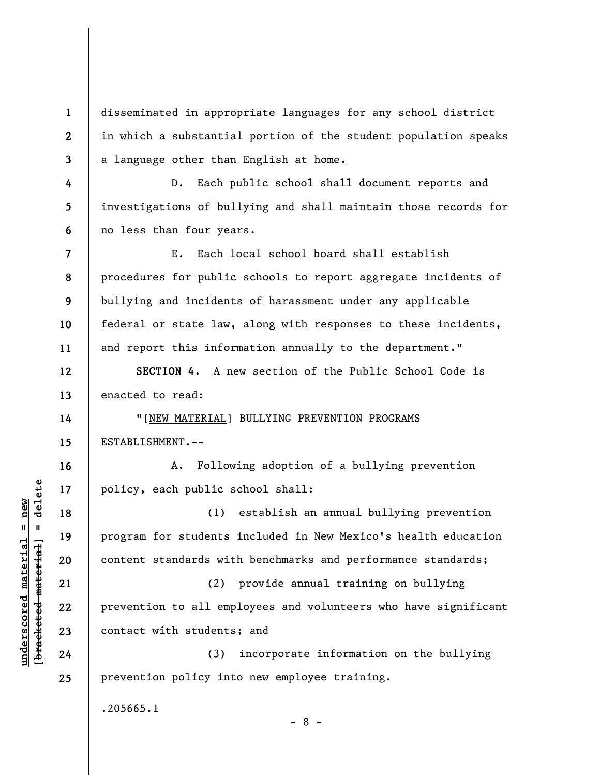**1 2 3**  disseminated in appropriate languages for any school district in which a substantial portion of the student population speaks a language other than English at home.

D. Each public school shall document reports and investigations of bullying and shall maintain those records for no less than four years.

**7 8 9 10 11**  E. Each local school board shall establish procedures for public schools to report aggregate incidents of bullying and incidents of harassment under any applicable federal or state law, along with responses to these incidents, and report this information annually to the department."

**SECTION 4.** A new section of the Public School Code is enacted to read:

**14 15**  "[NEW MATERIAL] BULLYING PREVENTION PROGRAMS ESTABLISHMENT.--

A. Following adoption of a bullying prevention policy, each public school shall:

(1) establish an annual bullying prevention program for students included in New Mexico's health education content standards with benchmarks and performance standards;

(2) provide annual training on bullying prevention to all employees and volunteers who have significant contact with students; and

(3) incorporate information on the bullying prevention policy into new employee training.

.205665.1

- 8 -

 $\frac{1}{2}$  intereted material = delete **[bracketed material] = delete**  $underscored material = new$ **underscored material = new**

**4** 

**5** 

**6** 

**12** 

**13** 

**16** 

**17** 

**18** 

**19** 

**20** 

**21** 

**22** 

**23** 

**24**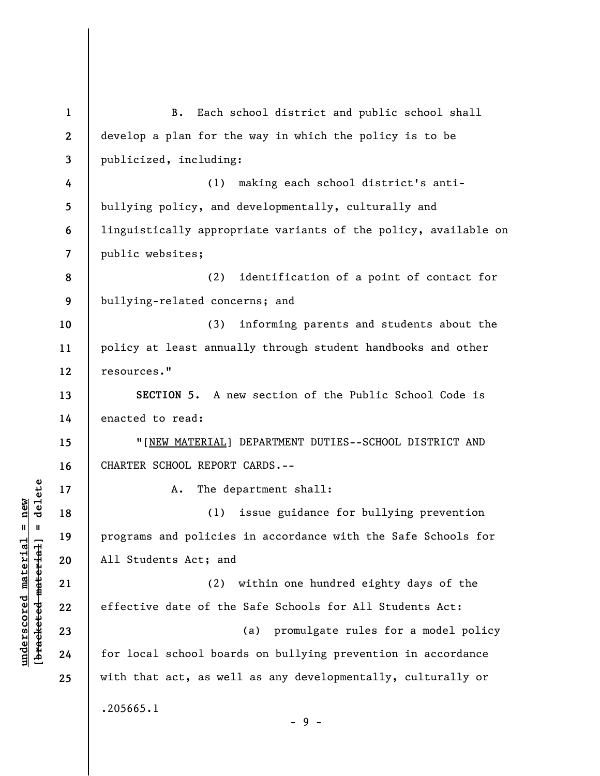| $\mathbf{1}$             | Each school district and public school shall<br>B.              |
|--------------------------|-----------------------------------------------------------------|
| $\mathbf{2}$             | develop a plan for the way in which the policy is to be         |
| 3                        | publicized, including:                                          |
| 4                        | making each school district's anti-<br>(1)                      |
| 5                        | bullying policy, and developmentally, culturally and            |
| 6                        | linguistically appropriate variants of the policy, available on |
| $\overline{\mathcal{L}}$ | public websites;                                                |
| 8                        | (2)<br>identification of a point of contact for                 |
| 9                        | bullying-related concerns; and                                  |
| 10                       | informing parents and students about the<br>(3)                 |
| 11                       | policy at least annually through student handbooks and other    |
| 12                       | resources."                                                     |
| 13                       | SECTION 5. A new section of the Public School Code is           |
| 14                       | enacted to read:                                                |
| 15                       | "[NEW MATERIAL] DEPARTMENT DUTIES--SCHOOL DISTRICT AND          |
| 16                       | CHARTER SCHOOL REPORT CARDS.--                                  |
| 17                       | The department shall:<br>Α.                                     |
| 18                       | issue guidance for bullying prevention<br>(1)                   |
| 19                       | programs and policies in accordance with the Safe Schools for   |
| 20                       | All Students Act; and                                           |
| 21                       | within one hundred eighty days of the<br>(2)                    |
| 22                       | effective date of the Safe Schools for All Students Act:        |
| 23                       | promulgate rules for a model policy<br>(a)                      |
| 24                       | for local school boards on bullying prevention in accordance    |
| 25                       | with that act, as well as any developmentally, culturally or    |
|                          | .205665.1<br>-9-                                                |

**underscored material = new [bracketed material] = delete**

 $[**bracket eted metert et**] = **del et e**$  $underscored material = new$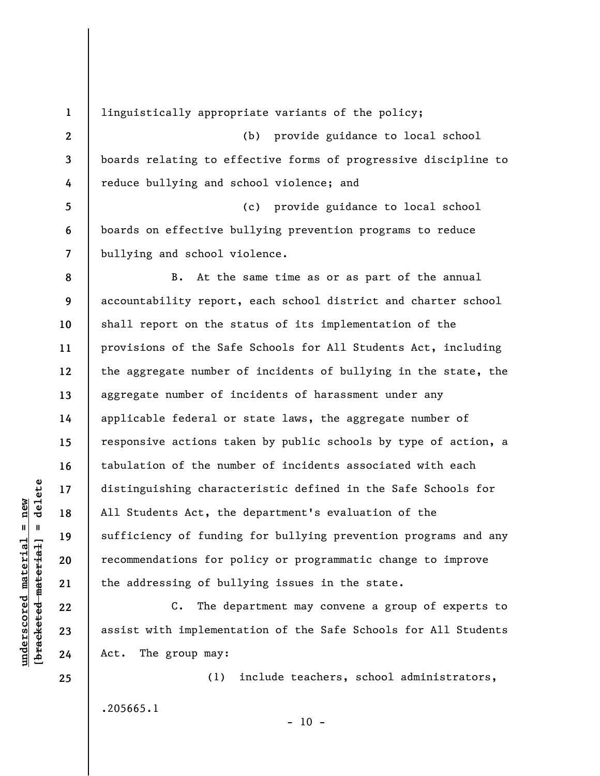linguistically appropriate variants of the policy;

**2 3 4**  (b) provide guidance to local school boards relating to effective forms of progressive discipline to reduce bullying and school violence; and

**5 6 7**  (c) provide guidance to local school boards on effective bullying prevention programs to reduce bullying and school violence.

**8 9 10 11 12 13 14 15 16 17 18 19 20 21**  B. At the same time as or as part of the annual accountability report, each school district and charter school shall report on the status of its implementation of the provisions of the Safe Schools for All Students Act, including the aggregate number of incidents of bullying in the state, the aggregate number of incidents of harassment under any applicable federal or state laws, the aggregate number of responsive actions taken by public schools by type of action, a tabulation of the number of incidents associated with each distinguishing characteristic defined in the Safe Schools for All Students Act, the department's evaluation of the sufficiency of funding for bullying prevention programs and any recommendations for policy or programmatic change to improve the addressing of bullying issues in the state.

C. The department may convene a group of experts to assist with implementation of the Safe Schools for All Students Act. The group may:

(1) include teachers, school administrators, .205665.1

 $- 10 -$ 

 $\frac{1}{2}$  of  $\frac{1}{2}$  and  $\frac{1}{2}$  and  $\frac{1}{2}$  and  $\frac{1}{2}$  and  $\frac{1}{2}$  and  $\frac{1}{2}$  and  $\frac{1}{2}$  and  $\frac{1}{2}$  and  $\frac{1}{2}$  and  $\frac{1}{2}$  and  $\frac{1}{2}$  and  $\frac{1}{2}$  and  $\frac{1}{2}$  and  $\frac{1}{2}$  and  $\frac{1}{2}$  an **[bracketed material] = delete**  $underscored material = new$ **underscored material = new**

**25** 

**22** 

**23** 

**24**